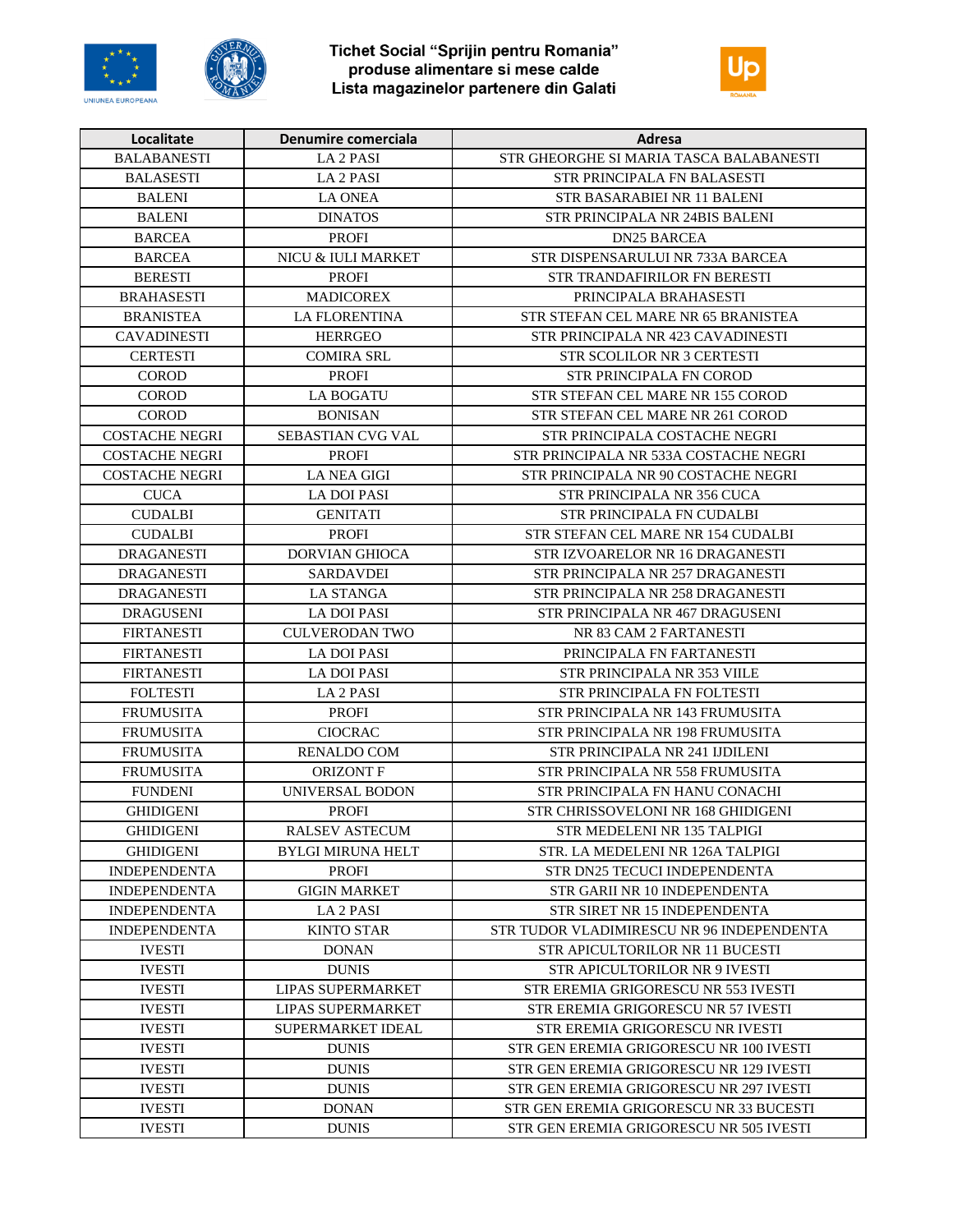





| Localitate            | Denumire comerciala      | Adresa                                    |
|-----------------------|--------------------------|-------------------------------------------|
| <b>BALABANESTI</b>    | LA 2 PASI                | STR GHEORGHE SI MARIA TASCA BALABANESTI   |
| <b>BALASESTI</b>      | LA <sub>2</sub> PASI     | STR PRINCIPALA FN BALASESTI               |
| <b>BALENI</b>         | <b>LA ONEA</b>           | STR BASARABIEI NR 11 BALENI               |
| <b>BALENI</b>         | <b>DINATOS</b>           | STR PRINCIPALA NR 24BIS BALENI            |
| <b>BARCEA</b>         | <b>PROFI</b>             | <b>DN25 BARCEA</b>                        |
| <b>BARCEA</b>         | NICU & IULI MARKET       | STR DISPENSARULUI NR 733A BARCEA          |
| <b>BERESTI</b>        | <b>PROFI</b>             | STR TRANDAFIRILOR FN BERESTI              |
| <b>BRAHASESTI</b>     | <b>MADICOREX</b>         | PRINCIPALA BRAHASESTI                     |
| <b>BRANISTEA</b>      | <b>LA FLORENTINA</b>     | STR STEFAN CEL MARE NR 65 BRANISTEA       |
| <b>CAVADINESTI</b>    | <b>HERRGEO</b>           | STR PRINCIPALA NR 423 CAVADINESTI         |
| <b>CERTESTI</b>       | <b>COMIRA SRL</b>        | <b>STR SCOLILOR NR 3 CERTESTI</b>         |
| <b>COROD</b>          | <b>PROFI</b>             | <b>STR PRINCIPALA FN COROD</b>            |
| <b>COROD</b>          | <b>LA BOGATU</b>         | STR STEFAN CEL MARE NR 155 COROD          |
| <b>COROD</b>          | <b>BONISAN</b>           | STR STEFAN CEL MARE NR 261 COROD          |
| <b>COSTACHE NEGRI</b> | SEBASTIAN CVG VAL        | STR PRINCIPALA COSTACHE NEGRI             |
| <b>COSTACHE NEGRI</b> | <b>PROFI</b>             | STR PRINCIPALA NR 533A COSTACHE NEGRI     |
| <b>COSTACHE NEGRI</b> | <b>LA NEA GIGI</b>       | STR PRINCIPALA NR 90 COSTACHE NEGRI       |
| <b>CUCA</b>           | <b>LA DOI PASI</b>       | STR PRINCIPALA NR 356 CUCA                |
| <b>CUDALBI</b>        | <b>GENITATI</b>          | STR PRINCIPALA FN CUDALBI                 |
| <b>CUDALBI</b>        | <b>PROFI</b>             | STR STEFAN CEL MARE NR 154 CUDALBI        |
| <b>DRAGANESTI</b>     | <b>DORVIAN GHIOCA</b>    | STR IZVOARELOR NR 16 DRAGANESTI           |
| <b>DRAGANESTI</b>     | <b>SARDAVDEI</b>         | STR PRINCIPALA NR 257 DRAGANESTI          |
| <b>DRAGANESTI</b>     | <b>LA STANGA</b>         | STR PRINCIPALA NR 258 DRAGANESTI          |
| <b>DRAGUSENI</b>      | <b>LA DOI PASI</b>       | STR PRINCIPALA NR 467 DRAGUSENI           |
| <b>FIRTANESTI</b>     | <b>CULVERODAN TWO</b>    | NR 83 CAM 2 FARTANESTI                    |
| <b>FIRTANESTI</b>     | <b>LA DOI PASI</b>       | PRINCIPALA FN FARTANESTI                  |
| <b>FIRTANESTI</b>     | <b>LA DOI PASI</b>       | STR PRINCIPALA NR 353 VIILE               |
| <b>FOLTESTI</b>       | <b>LA 2 PASI</b>         | STR PRINCIPALA FN FOLTESTI                |
| <b>FRUMUSITA</b>      | <b>PROFI</b>             | STR PRINCIPALA NR 143 FRUMUSITA           |
| <b>FRUMUSITA</b>      | <b>CIOCRAC</b>           | STR PRINCIPALA NR 198 FRUMUSITA           |
| <b>FRUMUSITA</b>      | <b>RENALDO COM</b>       | STR PRINCIPALA NR 241 IJDILENI            |
| <b>FRUMUSITA</b>      | <b>ORIZONT F</b>         | STR PRINCIPALA NR 558 FRUMUSITA           |
| <b>FUNDENI</b>        | UNIVERSAL BODON          | STR PRINCIPALA FN HANU CONACHI            |
| <b>GHIDIGENI</b>      | <b>PROFI</b>             | STR CHRISSOVELONI NR 168 GHIDIGENI        |
| <b>GHIDIGENI</b>      | RALSEV ASTECUM           | STR MEDELENI NR 135 TALPIGI               |
| <b>GHIDIGENI</b>      | BYLGI MIRUNA HELT        | STR. LA MEDELENI NR 126A TALPIGI          |
| <b>INDEPENDENTA</b>   | <b>PROFI</b>             | STR DN25 TECUCI INDEPENDENTA              |
| <b>INDEPENDENTA</b>   | <b>GIGIN MARKET</b>      | STR GARII NR 10 INDEPENDENTA              |
| <b>INDEPENDENTA</b>   | LA 2 PASI                | STR SIRET NR 15 INDEPENDENTA              |
| <b>INDEPENDENTA</b>   | <b>KINTO STAR</b>        | STR TUDOR VLADIMIRESCU NR 96 INDEPENDENTA |
|                       |                          |                                           |
| <b>IVESTI</b>         | <b>DONAN</b>             | STR APICULTORILOR NR 11 BUCESTI           |
| <b>IVESTI</b>         | <b>DUNIS</b>             | STR APICULTORILOR NR 9 IVESTI             |
| <b>IVESTI</b>         | <b>LIPAS SUPERMARKET</b> | STR EREMIA GRIGORESCU NR 553 IVESTI       |
| <b>IVESTI</b>         | <b>LIPAS SUPERMARKET</b> | STR EREMIA GRIGORESCU NR 57 IVESTI        |
| <b>IVESTI</b>         | SUPERMARKET IDEAL        | STR EREMIA GRIGORESCU NR IVESTI           |
| <b>IVESTI</b>         | <b>DUNIS</b>             | STR GEN EREMIA GRIGORESCU NR 100 IVESTI   |
| <b>IVESTI</b>         | <b>DUNIS</b>             | STR GEN EREMIA GRIGORESCU NR 129 IVESTI   |
| <b>IVESTI</b>         | <b>DUNIS</b>             | STR GEN EREMIA GRIGORESCU NR 297 IVESTI   |
| <b>IVESTI</b>         | <b>DONAN</b>             | STR GEN EREMIA GRIGORESCU NR 33 BUCESTI   |
| <b>IVESTI</b>         | <b>DUNIS</b>             | STR GEN EREMIA GRIGORESCU NR 505 IVESTI   |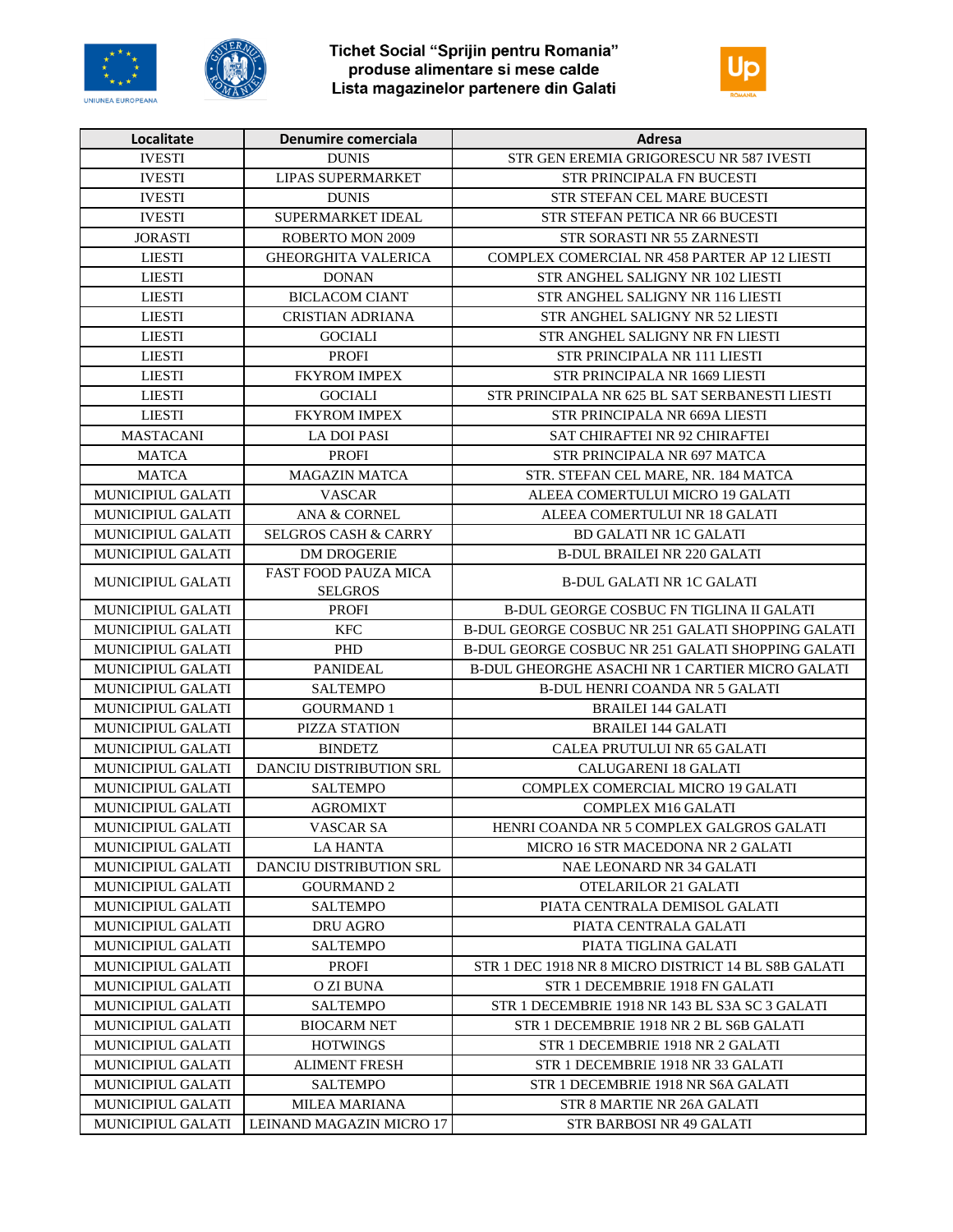





| Localitate               | Denumire comerciala                           | Adresa                                              |
|--------------------------|-----------------------------------------------|-----------------------------------------------------|
| <b>IVESTI</b>            | <b>DUNIS</b>                                  | STR GEN EREMIA GRIGORESCU NR 587 IVESTI             |
| <b>IVESTI</b>            | <b>LIPAS SUPERMARKET</b>                      | <b>STR PRINCIPALA FN BUCESTI</b>                    |
| <b>IVESTI</b>            | <b>DUNIS</b>                                  | STR STEFAN CEL MARE BUCESTI                         |
| <b>IVESTI</b>            | SUPERMARKET IDEAL                             | STR STEFAN PETICA NR 66 BUCESTI                     |
| <b>JORASTI</b>           | <b>ROBERTO MON 2009</b>                       | STR SORASTI NR 55 ZARNESTI                          |
| <b>LIESTI</b>            | <b>GHEORGHITA VALERICA</b>                    | COMPLEX COMERCIAL NR 458 PARTER AP 12 LIESTI        |
| <b>LIESTI</b>            | <b>DONAN</b>                                  | STR ANGHEL SALIGNY NR 102 LIESTI                    |
| <b>LIESTI</b>            | <b>BICLACOM CIANT</b>                         | STR ANGHEL SALIGNY NR 116 LIESTI                    |
| <b>LIESTI</b>            | CRISTIAN ADRIANA                              | STR ANGHEL SALIGNY NR 52 LIESTI                     |
| <b>LIESTI</b>            | <b>GOCIALI</b>                                | STR ANGHEL SALIGNY NR FN LIESTI                     |
| <b>LIESTI</b>            | <b>PROFI</b>                                  | STR PRINCIPALA NR 111 LIESTI                        |
| <b>LIESTI</b>            | FKYROM IMPEX                                  | STR PRINCIPALA NR 1669 LIESTI                       |
| <b>LIESTI</b>            | <b>GOCIALI</b>                                | STR PRINCIPALA NR 625 BL SAT SERBANESTI LIESTI      |
| <b>LIESTI</b>            | FKYROM IMPEX                                  | STR PRINCIPALA NR 669A LIESTI                       |
| <b>MASTACANI</b>         | <b>LA DOI PASI</b>                            | SAT CHIRAFTEI NR 92 CHIRAFTEI                       |
| <b>MATCA</b>             | <b>PROFI</b>                                  | STR PRINCIPALA NR 697 MATCA                         |
| <b>MATCA</b>             | <b>MAGAZIN MATCA</b>                          | STR. STEFAN CEL MARE, NR. 184 MATCA                 |
| MUNICIPIUL GALATI        | <b>VASCAR</b>                                 | ALEEA COMERTULUI MICRO 19 GALATI                    |
| MUNICIPIUL GALATI        | <b>ANA &amp; CORNEL</b>                       | ALEEA COMERTULUI NR 18 GALATI                       |
| <b>MUNICIPIUL GALATI</b> | <b>SELGROS CASH &amp; CARRY</b>               | <b>BD GALATI NR 1C GALATI</b>                       |
| MUNICIPIUL GALATI        | <b>DM DROGERIE</b>                            | <b>B-DUL BRAILEI NR 220 GALATI</b>                  |
| MUNICIPIUL GALATI        | <b>FAST FOOD PAUZA MICA</b><br><b>SELGROS</b> | <b>B-DUL GALATI NR 1C GALATI</b>                    |
| MUNICIPIUL GALATI        | <b>PROFI</b>                                  | B-DUL GEORGE COSBUC FN TIGLINA II GALATI            |
| MUNICIPIUL GALATI        | <b>KFC</b>                                    | B-DUL GEORGE COSBUC NR 251 GALATI SHOPPING GALATI   |
| MUNICIPIUL GALATI        | PHD                                           | B-DUL GEORGE COSBUC NR 251 GALATI SHOPPING GALATI   |
| MUNICIPIUL GALATI        | <b>PANIDEAL</b>                               | B-DUL GHEORGHE ASACHI NR 1 CARTIER MICRO GALATI     |
| MUNICIPIUL GALATI        | <b>SALTEMPO</b>                               | <b>B-DUL HENRI COANDA NR 5 GALATI</b>               |
| MUNICIPIUL GALATI        | <b>GOURMAND 1</b>                             | <b>BRAILEI 144 GALATI</b>                           |
| MUNICIPIUL GALATI        | PIZZA STATION                                 | <b>BRAILEI 144 GALATI</b>                           |
| MUNICIPIUL GALATI        | <b>BINDETZ</b>                                | CALEA PRUTULUI NR 65 GALATI                         |
| <b>MUNICIPIUL GALATI</b> | <b>DANCIU DISTRIBUTION SRL</b>                | <b>CALUGARENI 18 GALATI</b>                         |
| MUNICIPIUL GALATI        | <b>SALTEMPO</b>                               | COMPLEX COMERCIAL MICRO 19 GALATI                   |
| MUNICIPIUL GALATI        | <b>AGROMIXT</b>                               | COMPLEX M16 GALATI                                  |
| MUNICIPIUL GALATI        | VASCAR SA                                     | HENRI COANDA NR 5 COMPLEX GALGROS GALATI            |
| <b>MUNICIPIUL GALATI</b> | <b>LA HANTA</b>                               | MICRO 16 STR MACEDONA NR 2 GALATI                   |
| <b>MUNICIPIUL GALATI</b> | DANCIU DISTRIBUTION SRL                       | NAE LEONARD NR 34 GALATI                            |
| MUNICIPIUL GALATI        | <b>GOURMAND 2</b>                             | OTELARILOR 21 GALATI                                |
| <b>MUNICIPIUL GALATI</b> | SALTEMPO                                      | PIATA CENTRALA DEMISOL GALATI                       |
| MUNICIPIUL GALATI        | DRU AGRO                                      | PIATA CENTRALA GALATI                               |
| MUNICIPIUL GALATI        | <b>SALTEMPO</b>                               | PIATA TIGLINA GALATI                                |
| MUNICIPIUL GALATI        | PROFI                                         | STR 1 DEC 1918 NR 8 MICRO DISTRICT 14 BL S8B GALATI |
| <b>MUNICIPIUL GALATI</b> | O ZI BUNA                                     | STR 1 DECEMBRIE 1918 FN GALATI                      |
| <b>MUNICIPIUL GALATI</b> | <b>SALTEMPO</b>                               | STR 1 DECEMBRIE 1918 NR 143 BL S3A SC 3 GALATI      |
| MUNICIPIUL GALATI        | <b>BIOCARM NET</b>                            | STR 1 DECEMBRIE 1918 NR 2 BL S6B GALATI             |
| MUNICIPIUL GALATI        | <b>HOTWINGS</b>                               | STR 1 DECEMBRIE 1918 NR 2 GALATI                    |
| <b>MUNICIPIUL GALATI</b> | <b>ALIMENT FRESH</b>                          | STR 1 DECEMBRIE 1918 NR 33 GALATI                   |
| MUNICIPIUL GALATI        | <b>SALTEMPO</b>                               | STR 1 DECEMBRIE 1918 NR S6A GALATI                  |
| MUNICIPIUL GALATI        | MILEA MARIANA                                 | STR 8 MARTIE NR 26A GALATI                          |
| MUNICIPIUL GALATI        | LEINAND MAGAZIN MICRO 17                      | STR BARBOSI NR 49 GALATI                            |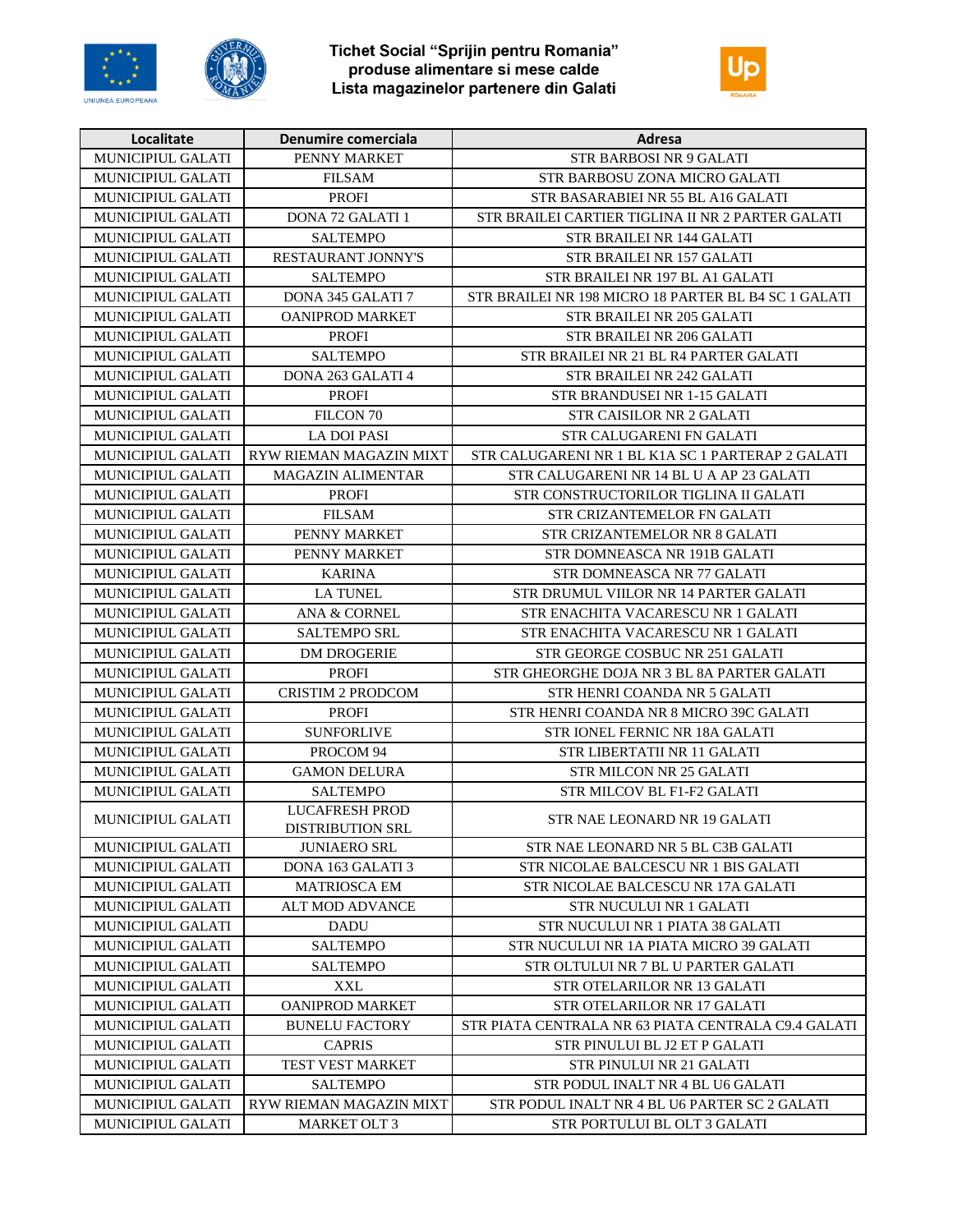





| Localitate               | <b>Denumire comerciala</b>                       | Adresa                                               |
|--------------------------|--------------------------------------------------|------------------------------------------------------|
| MUNICIPIUL GALATI        | PENNY MARKET                                     | <b>STR BARBOSI NR 9 GALATI</b>                       |
| MUNICIPIUL GALATI        | <b>FILSAM</b>                                    | STR BARBOSU ZONA MICRO GALATI                        |
| MUNICIPIUL GALATI        | <b>PROFI</b>                                     | STR BASARABIEI NR 55 BL A16 GALATI                   |
| MUNICIPIUL GALATI        | <b>DONA 72 GALATI 1</b>                          | STR BRAILEI CARTIER TIGLINA II NR 2 PARTER GALATI    |
| <b>MUNICIPIUL GALATI</b> | <b>SALTEMPO</b>                                  | STR BRAILEI NR 144 GALATI                            |
| MUNICIPIUL GALATI        | <b>RESTAURANT JONNY'S</b>                        | STR BRAILEI NR 157 GALATI                            |
| MUNICIPIUL GALATI        | <b>SALTEMPO</b>                                  | STR BRAILEI NR 197 BL A1 GALATI                      |
| <b>MUNICIPIUL GALATI</b> | DONA 345 GALATI 7                                | STR BRAILEI NR 198 MICRO 18 PARTER BL B4 SC 1 GALATI |
| MUNICIPIUL GALATI        | <b>OANIPROD MARKET</b>                           | STR BRAILEI NR 205 GALATI                            |
| MUNICIPIUL GALATI        | <b>PROFI</b>                                     | STR BRAILEI NR 206 GALATI                            |
| MUNICIPIUL GALATI        | <b>SALTEMPO</b>                                  | STR BRAILEI NR 21 BL R4 PARTER GALATI                |
| MUNICIPIUL GALATI        | DONA 263 GALATI 4                                | STR BRAILEI NR 242 GALATI                            |
| MUNICIPIUL GALATI        | <b>PROFI</b>                                     | STR BRANDUSEI NR 1-15 GALATI                         |
| MUNICIPIUL GALATI        | FILCON <sub>70</sub>                             | <b>STR CAISILOR NR 2 GALATI</b>                      |
| MUNICIPIUL GALATI        | <b>LA DOI PASI</b>                               | STR CALUGARENI FN GALATI                             |
| MUNICIPIUL GALATI        | RYW RIEMAN MAGAZIN MIXT                          | STR CALUGARENI NR 1 BL K1A SC 1 PARTERAP 2 GALATI    |
| MUNICIPIUL GALATI        | <b>MAGAZIN ALIMENTAR</b>                         | STR CALUGARENI NR 14 BL U A AP 23 GALATI             |
| MUNICIPIUL GALATI        | <b>PROFI</b>                                     | STR CONSTRUCTORILOR TIGLINA II GALATI                |
| <b>MUNICIPIUL GALATI</b> | <b>FILSAM</b>                                    | STR CRIZANTEMELOR FN GALATI                          |
| MUNICIPIUL GALATI        | PENNY MARKET                                     | STR CRIZANTEMELOR NR 8 GALATI                        |
| MUNICIPIUL GALATI        | PENNY MARKET                                     | STR DOMNEASCA NR 191B GALATI                         |
| <b>MUNICIPIUL GALATI</b> | <b>KARINA</b>                                    | STR DOMNEASCA NR 77 GALATI                           |
| MUNICIPIUL GALATI        | <b>LA TUNEL</b>                                  | STR DRUMUL VIILOR NR 14 PARTER GALATI                |
| MUNICIPIUL GALATI        | ANA & CORNEL                                     | STR ENACHITA VACARESCU NR 1 GALATI                   |
| MUNICIPIUL GALATI        | <b>SALTEMPO SRL</b>                              | STR ENACHITA VACARESCU NR 1 GALATI                   |
| MUNICIPIUL GALATI        | <b>DM DROGERIE</b>                               | STR GEORGE COSBUC NR 251 GALATI                      |
| <b>MUNICIPIUL GALATI</b> | <b>PROFI</b>                                     | STR GHEORGHE DOJA NR 3 BL 8A PARTER GALATI           |
| MUNICIPIUL GALATI        | <b>CRISTIM 2 PRODCOM</b>                         | STR HENRI COANDA NR 5 GALATI                         |
| MUNICIPIUL GALATI        | <b>PROFI</b>                                     | STR HENRI COANDA NR 8 MICRO 39C GALATI               |
| MUNICIPIUL GALATI        | <b>SUNFORLIVE</b>                                | STR IONEL FERNIC NR 18A GALATI                       |
| MUNICIPIUL GALATI        | PROCOM 94                                        | STR LIBERTATII NR 11 GALATI                          |
| MUNICIPIUL GALATI        | <b>GAMON DELURA</b>                              | STR MILCON NR 25 GALATI                              |
| <b>MUNICIPIUL GALATI</b> | <b>SALTEMPO</b>                                  | STR MILCOV BL F1-F2 GALATI                           |
| MUNICIPIUL GALATI        | <b>LUCAFRESH PROD</b><br><b>DISTRIBUTION SRL</b> | STR NAE LEONARD NR 19 GALATI                         |
| <b>MUNICIPIUL GALATI</b> | <b>JUNIAERO SRL</b>                              | STR NAE LEONARD NR 5 BL C3B GALATI                   |
| <b>MUNICIPIUL GALATI</b> | DONA 163 GALATI 3                                | STR NICOLAE BALCESCU NR 1 BIS GALATI                 |
| <b>MUNICIPIUL GALATI</b> | MATRIOSCA EM                                     | STR NICOLAE BALCESCU NR 17A GALATI                   |
| MUNICIPIUL GALATI        | ALT MOD ADVANCE                                  | STR NUCULUI NR 1 GALATI                              |
| <b>MUNICIPIUL GALATI</b> | <b>DADU</b>                                      | STR NUCULUI NR 1 PIATA 38 GALATI                     |
| MUNICIPIUL GALATI        | <b>SALTEMPO</b>                                  | STR NUCULUI NR 1A PIATA MICRO 39 GALATI              |
| <b>MUNICIPIUL GALATI</b> | <b>SALTEMPO</b>                                  | STR OLTULUI NR 7 BL U PARTER GALATI                  |
| <b>MUNICIPIUL GALATI</b> | <b>XXL</b>                                       | STR OTELARILOR NR 13 GALATI                          |
| MUNICIPIUL GALATI        | <b>OANIPROD MARKET</b>                           | STR OTELARILOR NR 17 GALATI                          |
| MUNICIPIUL GALATI        | <b>BUNELU FACTORY</b>                            | STR PIATA CENTRALA NR 63 PIATA CENTRALA C9.4 GALATI  |
| MUNICIPIUL GALATI        | <b>CAPRIS</b>                                    | STR PINULUI BL J2 ET P GALATI                        |
| <b>MUNICIPIUL GALATI</b> | TEST VEST MARKET                                 | STR PINULUI NR 21 GALATI                             |
| MUNICIPIUL GALATI        | <b>SALTEMPO</b>                                  | STR PODUL INALT NR 4 BL U6 GALATI                    |
| MUNICIPIUL GALATI        | RYW RIEMAN MAGAZIN MIXT                          | STR PODUL INALT NR 4 BL U6 PARTER SC 2 GALATI        |
| MUNICIPIUL GALATI        | <b>MARKET OLT 3</b>                              | STR PORTULUI BL OLT 3 GALATI                         |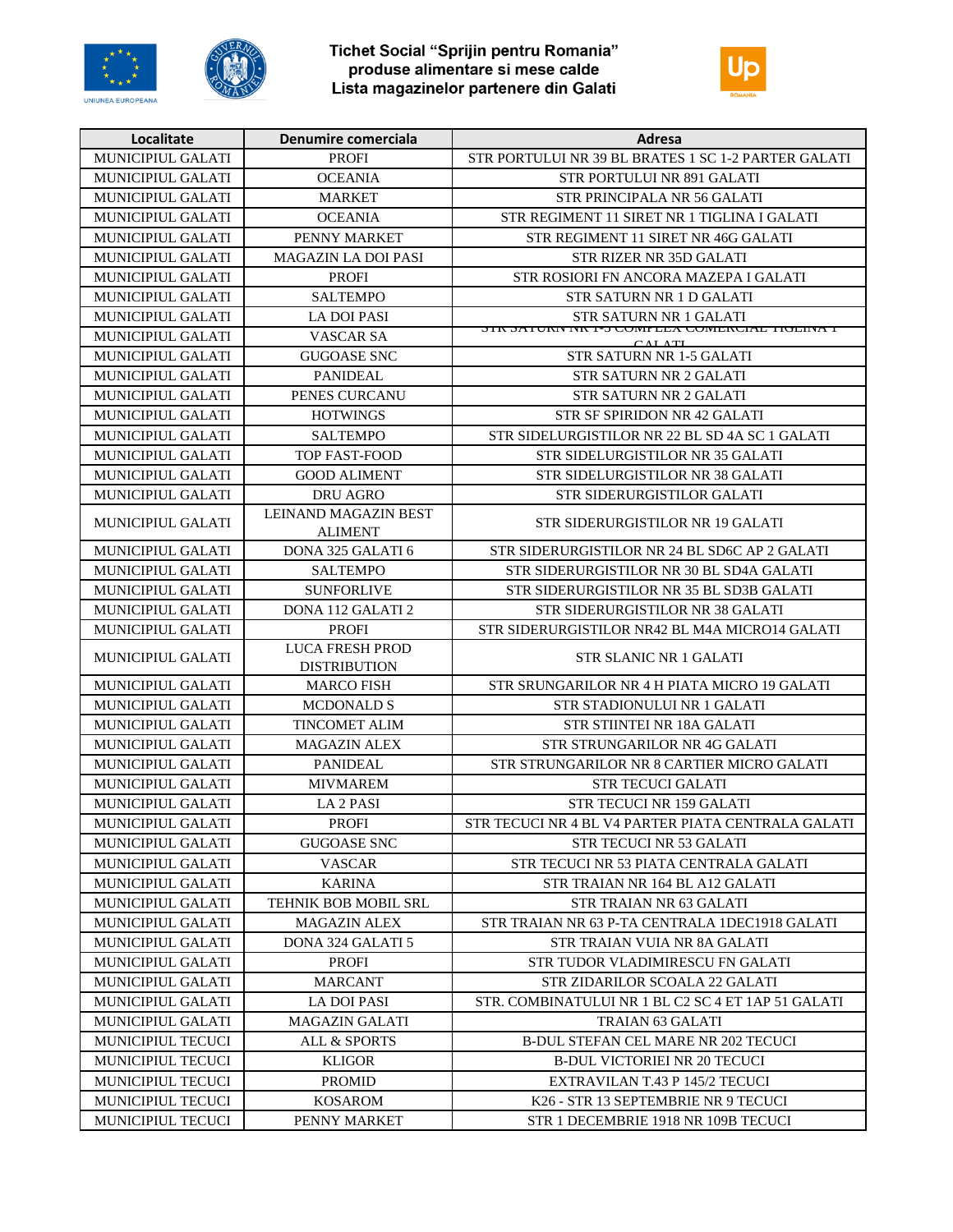





| Localitate               | Denumire comerciala                           | Adresa                                                  |
|--------------------------|-----------------------------------------------|---------------------------------------------------------|
| MUNICIPIUL GALATI        | <b>PROFI</b>                                  | STR PORTULUI NR 39 BL BRATES 1 SC 1-2 PARTER GALATI     |
| MUNICIPIUL GALATI        | <b>OCEANIA</b>                                | STR PORTULUI NR 891 GALATI                              |
| MUNICIPIUL GALATI        | <b>MARKET</b>                                 | STR PRINCIPALA NR 56 GALATI                             |
| MUNICIPIUL GALATI        | <b>OCEANIA</b>                                | STR REGIMENT 11 SIRET NR 1 TIGLINA I GALATI             |
| MUNICIPIUL GALATI        | PENNY MARKET                                  | STR REGIMENT 11 SIRET NR 46G GALATI                     |
| MUNICIPIUL GALATI        | <b>MAGAZIN LA DOI PASI</b>                    | STR RIZER NR 35D GALATI                                 |
| MUNICIPIUL GALATI        | <b>PROFI</b>                                  | STR ROSIORI FN ANCORA MAZEPA I GALATI                   |
| MUNICIPIUL GALATI        | <b>SALTEMPO</b>                               | STR SATURN NR 1 D GALATI                                |
| <b>MUNICIPIUL GALATI</b> | <b>LA DOI PASI</b>                            | STR SATURN NR 1 GALATI                                  |
| MUNICIPIUL GALATI        | <b>VASCAR SA</b>                              | SIR SATURN NR 1-3 COMPLEA COMERCIAL TIOLINA I<br>AL ATL |
| MUNICIPIUL GALATI        | <b>GUGOASE SNC</b>                            | <b>STR SATURN NR 1-5 GALATI</b>                         |
| MUNICIPIUL GALATI        | <b>PANIDEAL</b>                               | <b>STR SATURN NR 2 GALATI</b>                           |
| MUNICIPIUL GALATI        | PENES CURCANU                                 | <b>STR SATURN NR 2 GALATI</b>                           |
| MUNICIPIUL GALATI        | <b>HOTWINGS</b>                               | STR SF SPIRIDON NR 42 GALATI                            |
| MUNICIPIUL GALATI        | <b>SALTEMPO</b>                               | STR SIDELURGISTILOR NR 22 BL SD 4A SC 1 GALATI          |
| MUNICIPIUL GALATI        | TOP FAST-FOOD                                 | STR SIDELURGISTILOR NR 35 GALATI                        |
| <b>MUNICIPIUL GALATI</b> | <b>GOOD ALIMENT</b>                           | STR SIDELURGISTILOR NR 38 GALATI                        |
| MUNICIPIUL GALATI        | <b>DRU AGRO</b>                               | <b>STR SIDERURGISTILOR GALATI</b>                       |
| <b>MUNICIPIUL GALATI</b> | LEINAND MAGAZIN BEST<br>ALIMENT               | STR SIDERURGISTILOR NR 19 GALATI                        |
| <b>MUNICIPIUL GALATI</b> | DONA 325 GALATI 6                             | STR SIDERURGISTILOR NR 24 BL SD6C AP 2 GALATI           |
| MUNICIPIUL GALATI        | <b>SALTEMPO</b>                               | STR SIDERURGISTILOR NR 30 BL SD4A GALATI                |
| MUNICIPIUL GALATI        | <b>SUNFORLIVE</b>                             | STR SIDERURGISTILOR NR 35 BL SD3B GALATI                |
| MUNICIPIUL GALATI        | <b>DONA 112 GALATI 2</b>                      | STR SIDERURGISTILOR NR 38 GALATI                        |
| MUNICIPIUL GALATI        | <b>PROFI</b>                                  | STR SIDERURGISTILOR NR42 BL M4A MICRO14 GALATI          |
| MUNICIPIUL GALATI        | <b>LUCA FRESH PROD</b><br><b>DISTRIBUTION</b> | <b>STR SLANIC NR 1 GALATI</b>                           |
| MUNICIPIUL GALATI        | <b>MARCO FISH</b>                             | STR SRUNGARILOR NR 4 H PIATA MICRO 19 GALATI            |
| MUNICIPIUL GALATI        | <b>MCDONALD S</b>                             | STR STADIONULUI NR 1 GALATI                             |
| MUNICIPIUL GALATI        | <b>TINCOMET ALIM</b>                          | STR STIINTEI NR 18A GALATI                              |
| MUNICIPIUL GALATI        | <b>MAGAZIN ALEX</b>                           | STR STRUNGARILOR NR 4G GALATI                           |
| MUNICIPIUL GALATI        | <b>PANIDEAL</b>                               | STR STRUNGARILOR NR 8 CARTIER MICRO GALATI              |
| MUNICIPIUL GALATI        | <b>MIVMAREM</b>                               | <b>STR TECUCI GALATI</b>                                |
| <b>MUNICIPIUL GALATI</b> | <b>LA 2 PASI</b>                              | STR TECUCI NR 159 GALATI                                |
| MUNICIPIUL GALATI        | <b>PROFI</b>                                  | STR TECUCI NR 4 BL V4 PARTER PIATA CENTRALA GALATI      |
| MUNICIPIUL GALATI        | <b>GUGOASE SNC</b>                            | STR TECUCI NR 53 GALATI                                 |
| <b>MUNICIPIUL GALATI</b> | VASCAR                                        | STR TECUCI NR 53 PIATA CENTRALA GALATI                  |
| <b>MUNICIPIUL GALATI</b> | <b>KARINA</b>                                 | STR TRAIAN NR 164 BL A12 GALATI                         |
| <b>MUNICIPIUL GALATI</b> | TEHNIK BOB MOBIL SRL                          | STR TRAIAN NR 63 GALATI                                 |
| <b>MUNICIPIUL GALATI</b> | <b>MAGAZIN ALEX</b>                           | STR TRAIAN NR 63 P-TA CENTRALA 1DEC1918 GALATI          |
| <b>MUNICIPIUL GALATI</b> | DONA 324 GALATI 5                             | STR TRAIAN VUIA NR 8A GALATI                            |
| <b>MUNICIPIUL GALATI</b> | <b>PROFI</b>                                  | STR TUDOR VLADIMIRESCU FN GALATI                        |
| <b>MUNICIPIUL GALATI</b> | MARCANT                                       | STR ZIDARILOR SCOALA 22 GALATI                          |
| MUNICIPIUL GALATI        | LA DOI PASI                                   | STR. COMBINATULUI NR 1 BL C2 SC 4 ET 1AP 51 GALATI      |
| <b>MUNICIPIUL GALATI</b> | <b>MAGAZIN GALATI</b>                         | <b>TRAIAN 63 GALATI</b>                                 |
| <b>MUNICIPIUL TECUCI</b> | ALL & SPORTS                                  | B-DUL STEFAN CEL MARE NR 202 TECUCI                     |
| MUNICIPIUL TECUCI        | <b>KLIGOR</b>                                 | <b>B-DUL VICTORIEI NR 20 TECUCI</b>                     |
| MUNICIPIUL TECUCI        | <b>PROMID</b>                                 | EXTRAVILAN T.43 P 145/2 TECUCI                          |
| <b>MUNICIPIUL TECUCI</b> | <b>KOSAROM</b>                                | K26 - STR 13 SEPTEMBRIE NR 9 TECUCI                     |
| MUNICIPIUL TECUCI        | PENNY MARKET                                  | STR 1 DECEMBRIE 1918 NR 109B TECUCI                     |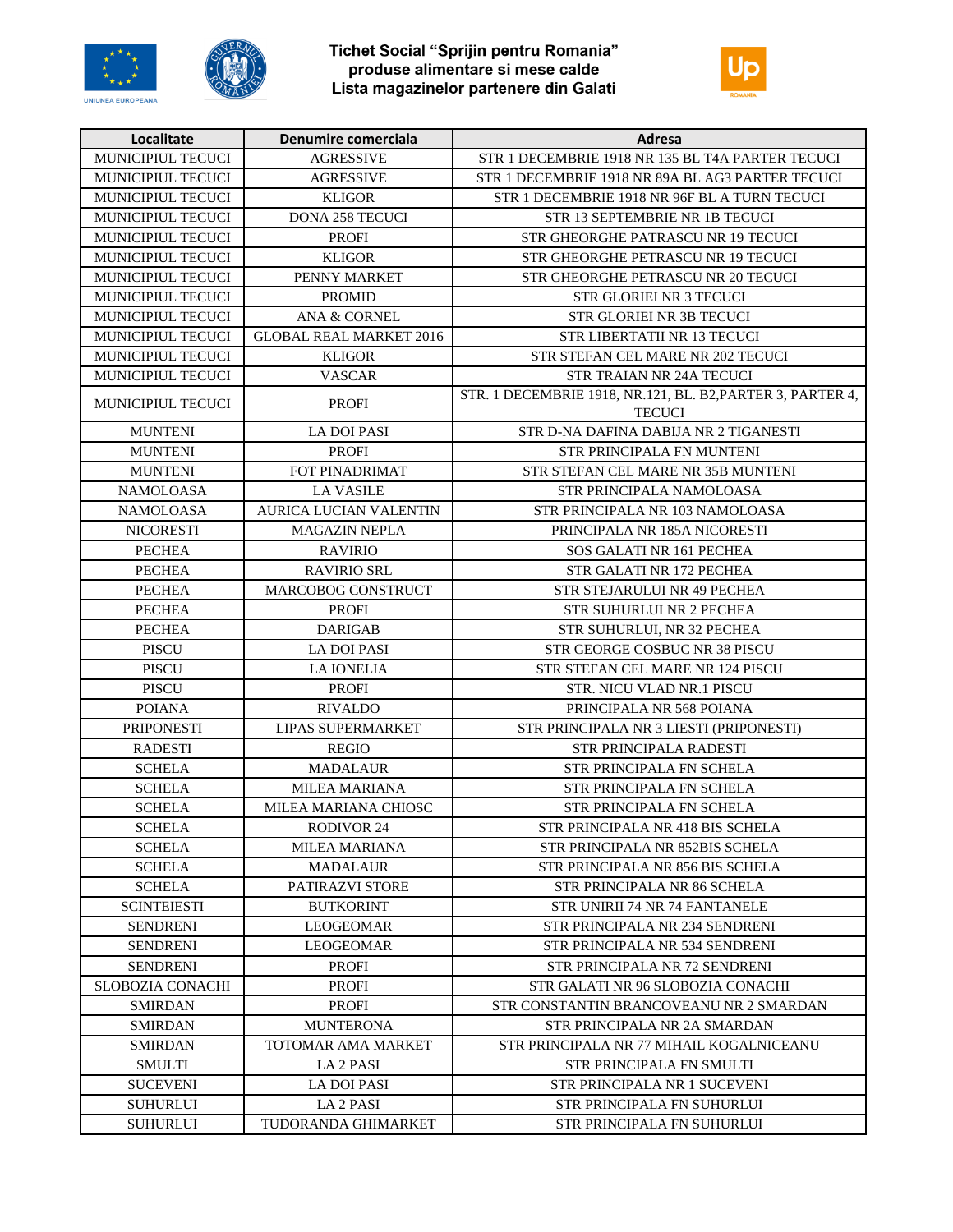





| Localitate               | Denumire comerciala            | Adresa                                                                      |
|--------------------------|--------------------------------|-----------------------------------------------------------------------------|
| MUNICIPIUL TECUCI        | <b>AGRESSIVE</b>               | STR 1 DECEMBRIE 1918 NR 135 BL T4A PARTER TECUCI                            |
| MUNICIPIUL TECUCI        | <b>AGRESSIVE</b>               | STR 1 DECEMBRIE 1918 NR 89A BL AG3 PARTER TECUCI                            |
| MUNICIPIUL TECUCI        | <b>KLIGOR</b>                  | STR 1 DECEMBRIE 1918 NR 96F BL A TURN TECUCI                                |
| <b>MUNICIPIUL TECUCI</b> | <b>DONA 258 TECUCI</b>         | STR 13 SEPTEMBRIE NR 1B TECUCI                                              |
| MUNICIPIUL TECUCI        | <b>PROFI</b>                   | STR GHEORGHE PATRASCU NR 19 TECUCI                                          |
| MUNICIPIUL TECUCI        | <b>KLIGOR</b>                  | STR GHEORGHE PETRASCU NR 19 TECUCI                                          |
| MUNICIPIUL TECUCI        | PENNY MARKET                   | STR GHEORGHE PETRASCU NR 20 TECUCI                                          |
| <b>MUNICIPIUL TECUCI</b> | <b>PROMID</b>                  | <b>STR GLORIEI NR 3 TECUCI</b>                                              |
| MUNICIPIUL TECUCI        | ANA & CORNEL                   | STR GLORIEI NR 3B TECUCI                                                    |
| MUNICIPIUL TECUCI        | <b>GLOBAL REAL MARKET 2016</b> | STR LIBERTATII NR 13 TECUCI                                                 |
| <b>MUNICIPIUL TECUCI</b> | <b>KLIGOR</b>                  | STR STEFAN CEL MARE NR 202 TECUCI                                           |
| MUNICIPIUL TECUCI        | <b>VASCAR</b>                  | STR TRAIAN NR 24A TECUCI                                                    |
| MUNICIPIUL TECUCI        | <b>PROFI</b>                   | STR. 1 DECEMBRIE 1918, NR.121, BL. B2, PARTER 3, PARTER 4,<br><b>TECUCI</b> |
| <b>MUNTENI</b>           | <b>LA DOI PASI</b>             | STR D-NA DAFINA DABIJA NR 2 TIGANESTI                                       |
| <b>MUNTENI</b>           | <b>PROFI</b>                   | STR PRINCIPALA FN MUNTENI                                                   |
| <b>MUNTENI</b>           | FOT PINADRIMAT                 | STR STEFAN CEL MARE NR 35B MUNTENI                                          |
| <b>NAMOLOASA</b>         | <b>LA VASILE</b>               | STR PRINCIPALA NAMOLOASA                                                    |
| <b>NAMOLOASA</b>         | AURICA LUCIAN VALENTIN         | STR PRINCIPALA NR 103 NAMOLOASA                                             |
| <b>NICORESTI</b>         | <b>MAGAZIN NEPLA</b>           | PRINCIPALA NR 185A NICORESTI                                                |
| <b>PECHEA</b>            | <b>RAVIRIO</b>                 | SOS GALATI NR 161 PECHEA                                                    |
| <b>PECHEA</b>            | <b>RAVIRIO SRL</b>             | STR GALATI NR 172 PECHEA                                                    |
| <b>PECHEA</b>            | <b>MARCOBOG CONSTRUCT</b>      | STR STEJARULUI NR 49 PECHEA                                                 |
| <b>PECHEA</b>            | <b>PROFI</b>                   | <b>STR SUHURLUI NR 2 PECHEA</b>                                             |
| <b>PECHEA</b>            | <b>DARIGAB</b>                 | STR SUHURLUI, NR 32 PECHEA                                                  |
| <b>PISCU</b>             | <b>LA DOI PASI</b>             | STR GEORGE COSBUC NR 38 PISCU                                               |
| <b>PISCU</b>             | <b>LA IONELIA</b>              | STR STEFAN CEL MARE NR 124 PISCU                                            |
| <b>PISCU</b>             | <b>PROFI</b>                   | STR. NICU VLAD NR.1 PISCU                                                   |
| <b>POIANA</b>            | <b>RIVALDO</b>                 | PRINCIPALA NR 568 POIANA                                                    |
| <b>PRIPONESTI</b>        | <b>LIPAS SUPERMARKET</b>       | STR PRINCIPALA NR 3 LIESTI (PRIPONESTI)                                     |
| <b>RADESTI</b>           | <b>REGIO</b>                   | <b>STR PRINCIPALA RADESTI</b>                                               |
| <b>SCHELA</b>            | <b>MADALAUR</b>                | <b>STR PRINCIPALA FN SCHELA</b>                                             |
| <b>SCHELA</b>            | <b>MILEA MARIANA</b>           | <b>STR PRINCIPALA FN SCHELA</b>                                             |
| <b>SCHELA</b>            | MILEA MARIANA CHIOSC           | STR PRINCIPALA FN SCHELA                                                    |
| <b>SCHELA</b>            | RODIVOR 24                     | STR PRINCIPALA NR 418 BIS SCHELA                                            |
| <b>SCHELA</b>            | MILEA MARIANA                  | STR PRINCIPALA NR 852BIS SCHELA                                             |
| <b>SCHELA</b>            | <b>MADALAUR</b>                | STR PRINCIPALA NR 856 BIS SCHELA                                            |
| <b>SCHELA</b>            | <b>PATIRAZVI STORE</b>         | STR PRINCIPALA NR 86 SCHELA                                                 |
| <b>SCINTEIESTI</b>       | <b>BUTKORINT</b>               | STR UNIRII 74 NR 74 FANTANELE                                               |
| <b>SENDRENI</b>          | LEOGEOMAR                      | STR PRINCIPALA NR 234 SENDRENI                                              |
| <b>SENDRENI</b>          | <b>LEOGEOMAR</b>               | STR PRINCIPALA NR 534 SENDRENI                                              |
| <b>SENDRENI</b>          | <b>PROFI</b>                   | STR PRINCIPALA NR 72 SENDRENI                                               |
| <b>SLOBOZIA CONACHI</b>  | <b>PROFI</b>                   | STR GALATI NR 96 SLOBOZIA CONACHI                                           |
| <b>SMIRDAN</b>           | <b>PROFI</b>                   | STR CONSTANTIN BRANCOVEANU NR 2 SMARDAN                                     |
| <b>SMIRDAN</b>           | <b>MUNTERONA</b>               | STR PRINCIPALA NR 2A SMARDAN                                                |
| <b>SMIRDAN</b>           | TOTOMAR AMA MARKET             | STR PRINCIPALA NR 77 MIHAIL KOGALNICEANU                                    |
| <b>SMULTI</b>            | LA 2 PASI                      | STR PRINCIPALA FN SMULTI                                                    |
| <b>SUCEVENI</b>          | <b>LA DOI PASI</b>             | STR PRINCIPALA NR 1 SUCEVENI                                                |
| <b>SUHURLUI</b>          | LA 2 PASI                      | STR PRINCIPALA FN SUHURLUI                                                  |
| <b>SUHURLUI</b>          | TUDORANDA GHIMARKET            | STR PRINCIPALA FN SUHURLUI                                                  |